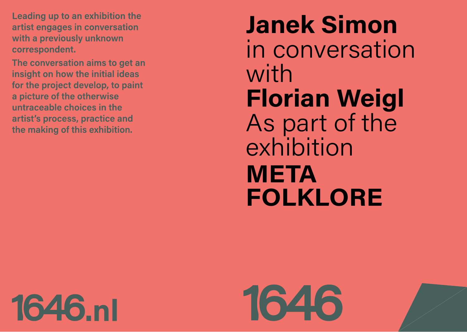Leading up to an exhibition the artist engages in conversation with a previously unknown correspondent.

The conversation aims to get an insight on how the initial ideas for the project develop, to paint a picture of the otherwise untraceable choices in the artist's process, practice and the making of this exhibition.

# **Janek Simon**  in conversation with **Florian Weigl**  As part of the exhibition **META FOLKLORE**

**1646.nl** 

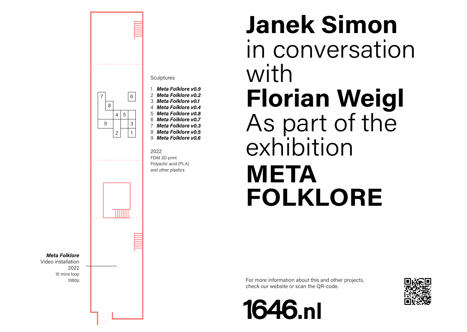

**Sculptures** 

- 1 *Meta Folklore v0.9* 2 *Meta Folklore v0.2*
- 3 *Meta Folklore v0.1*
- 4 *Meta Folklore v0.4* 5 *Meta Folklore v0.8*
- 6 *Meta Folklore v0.7* 7 *Meta Folklore v0.3*
- 8 *Meta Folklore v0.5* 9 *Meta Folklore v0.6*
- FDM 3D print Polyactic acid (PLA) and other plastics

# **Janek Simon**  in conversation with **Florian Weigl**  As part of the exhibition **META FOLKLORE**

For more information about this and other projects, check our website or scan the QR-code.



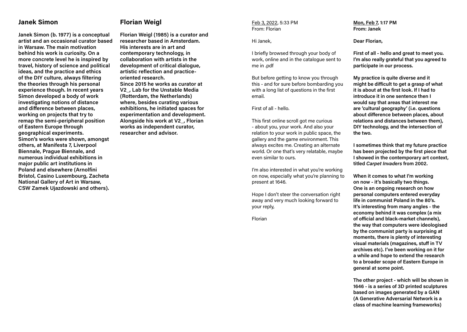# **Janek Simon**

**Janek Simon (b. 1977) is a conceptual artist and an occasional curator based in Warsaw. The main motivation behind his work is curiosity. On a more concrete level he is inspired by travel, history of science and political ideas, and the practice and ethics of the DIY culture, always filtering the theories through his personal experience though. In recent years Simon developed a body of work investigating notions of distance and difference between places, working on projects that try to remap the semi-peripheral position of Eastern Europe through geographical experiments. Simon's works were shown, amongst others, at Manifesta 7, Liverpool Biennale, Prague Biennale, and numerous individual exhibitions in major public art institutions in Poland and elsewhere (Arnolfini Bristol, Casino Luxembourg, Zacheta National Gallery of Art in Warsaw, CSW Zamek Ujazdowski and others).**

# **Florian Weigl**

**Florian Weigl (1985) is a curator and researcher based in Amsterdam. His interests are in art and contemporary technology, in collaboration with artists in the development of critical dialogue, artistic reflection and practiceoriented research. Since 2015 he works as curator at V2\_, Lab for the Unstable Media (Rotterdam, the Netherlands) where, besides curating various exhibitions, he initiated spaces for experimentation and development. Alongside his work at V2\_, Florian works as independent curator, researcher and advisor.**

Feb 3, 2022, 5:33 PM From: Florian

## Hi Janek,

I briefly browsed through your body of work, online and in the catalogue sent to me in .pdf

But before getting to know you through this - and for sure before bombarding you with a long list of questions in the first email.

First of all - hello.

This first online scroll got me curious - about you, your work. And also your relation to your work in public space, the gallery and the game environment. This always excites me. Creating an alternate world. Or one that's very relatable, maybe even similar to ours.

I'm also interested in what you're working on now, especially what you're planning to present at 1646.

Hope I don't steer the conversation right away and very much looking forward to your reply,

Florian

**Mon, Feb 7, 1:17 PM From: Janek** 

### **Dear Florian,**

**First of all - hello and great to meet you. I'm also really grateful that you agreed to participate in our process.** 

**My practice is quite diverse and it might be difficult to get a grasp of what it is about at the first look. If I had to introduce it in one sentence then I would say that areas that interest me are 'cultural geography' (i.e. questions about difference between places, about relations and distances between them), DIY technology, and the intersection of the two.**

**I sometimes think that my future practice has been projected by the first piece that I showed in the contemporary art context, titled** *Carpet Invaders* **from 2002.** 

**When it comes to what I'm working on now - it's basically two things. One is an ongoing research on how personal computers entered everyday life in communist Poland in the 80's. It's interesting from many angles - the economy behind it was complex (a mix of official and black-market channels), the way that computers were ideologised by the communist party is surprising at moments, there is plenty of interesting visual materials (magazines, stuff in TV archives etc). I've been working on it for a while and hope to extend the research to a broader scope of Eastern Europe in general at some point.**

**The other project - which will be shown in 1646 - is a series of 3D printed sculptures based on images generated by a GAN (A Generative Adversarial Network is a class of machine learning frameworks)**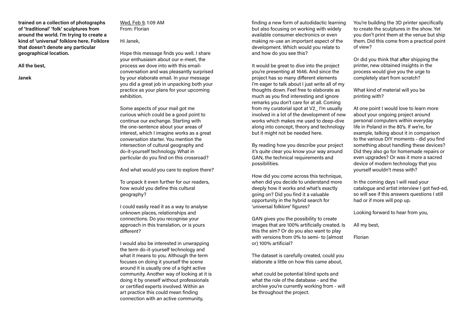**trained on a collection of photographs of 'traditional' 'folk' sculptures from around the world. I'm trying to create a kind of 'universal' folklore here. Folklore that doesn't denote any particular geographical location.** 

**All the best,** 

**Janek** 

Wed, Feb 9, 1:09 AM From: Florian

# Hi Janek,

Hope this message finds you well. I share your enthusiasm about our e-meet, the process we dove into with this emailconversation and was pleasantly surprised by your elaborate email. In your message you did a great job in unpacking both your practice as your plans for your upcoming exhibition.

Some aspects of your mail got me curious which could be a good point to continue our exchange. Starting with the one-sentence about your areas of interest, which I imagine works as a great conversation starter. You mention the intersection of cultural geography and do-it-yourself technology. What in particular do you find on this crossroad?

And what would you care to explore there?

To unpack it even further for our readers, how would you define this cultural geography?

I could easily read it as a way to analyse unknown places, relationships and connections. Do you recognise your approach in this translation, or is yours different?

I would also be interested in unwrapping the term do-it-yourself technology and what it means to you. Although the term focuses on doing it yourself the scene around it is usually one of a tight active community. Another way of looking at it is doing it by oneself without professionals or certified experts involved. Within an art practice this could mean finding connection with an active community,

finding a new form of autodidactic learning but also focusing on working with widely available consumer electronics or even making re-use an important aspect of the development. Which would you relate to and how do you see this?

It would be great to dive into the project you're presenting at 1646. And since the project has so many different elements I'm eager to talk about I just write all of my thoughts down. Feel free to elaborate as much as you find interesting and ignore remarks you don't care for at all. Coming from my curatorial spot at V2\_ I'm usually involved in a lot of the development of new works which makes me used to deep-dive along into concept, theory and technology but it might not be needed here.

By reading how you describe your project it's quite clear you know your way around GAN, the technical requirements and possibilities.

How did you come across this technique, when did you decide to understand more deeply how it works and what's exactly going on? Did you find it a valuable opportunity in the hybrid search for 'universal folklore' figures?

GAN gives you the possibility to create images that are 100% artificially created. Is this the aim? Or do you also want to play with versions from 0% to semi- to (almost or) 100% artificial?

The dataset is carefully created, could you elaborate a little on how this came about,

what could be potential blind spots and what the role of the database - and the archive you're currently working from - will be throughout the project.

You're building the 3D printer specifically to create the sculptures in the show. Yet you don't print them at the venue but ship them. Did this come from a practical point of view?

Or did you think that after shipping the printer, new obtained insights in the process would give you the urge to completely start from scratch?

What kind of material will you be printing with?

At one point I would love to learn more about your ongoing project around personal computers within everyday life in Poland in the 80's. If we're, for example, talking about it in comparison to the various DIY moments - did you find something about handling these devices? Did they also go for homemade repairs or even upgrades? Or was it more a sacred device of modern technology that you yourself wouldn't mess with?

In the coming days I will read your catalogue and artist interview I got fwd-ed, so will see if this answers questions I still had or if more will pop up.

Looking forward to hear from you,

All my best,

Florian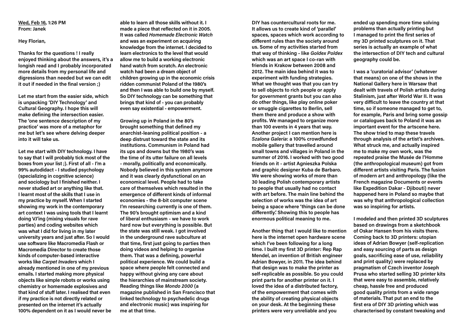**Wed, Feb 16, 1:26 PM From: Janek**

**Hey Florian,** 

**Thanks for the questions ! I really enjoyed thinking about the answers, it's a longish read and I probably incorporated more details from my personal life and digressions than needed but we can edit it out if needed in the final version ;)** 

**Let me start from the easier side, which is unpacking 'DIY Technology' and Cultural Geography. I hope this will make defining the intersection easier. The 'one sentence description of my practice' was more of a metaphor for me but let's see where delving deeper into it will take us.**

**Let me start with DIY technology. I have to say that I will probably tick most of the boxes from your list ;). First of all - I'm a 99% autodidact - I studied psychology (specializing in cognitive science) and sociology but I finished neither. I never studied art or anything like that. I learnt most of the skills that I use in my practice by myself. When I started showing my work in the contemporary art context I was using tools that I learnt doing VJ'ing (mixing visuals for rave parties) and coding websites which was what I did for living in my later university years and just after. So I would use software like Macromedia Flash or Macromedia Director to create those kinds of computer-based interactive works like** *Carpet Invaders* **which I already mentioned in one of my previous emails. I started making more physical objects like simple robots or works using chemistry or homemade explosives and that kind of stuff later. I realised that even if my practice is not directly related or presented on the internet it's actually 100% dependent on it as I would never be**  **able to learn all those skills without it. I made a piece that reflected on it in 2005. It was called** *Homemade Electronic Watch* **and was an experiment on acquiring knowledge from the internet. I decided to learn electronics to the level that would allow me to build a working electronic hand watch from scratch. An electronic watch had been a dream object of children growing up in the economic crisis ridden communist Poland of the 1980's and then I was able to build one by myself. So DIY technology can be something that brings that kind of - you can probably even say existential - empowerment.** 

**Growing up in Poland in the 80's brought something that defined my anarchist-leaning political position - a deep distrust toward the state and its institutions. Communism in Poland had its ups and downs but the 1980's was the time of its utter failure on all levels - morally, politically and economically. Nobody believed in this system anymore and it was clearly dysfunctional on an economical level. People had to take care of themselves which resulted in the emergence of different kinds of informal economies - the 8-bit computer scene I'm researching currently is one of them. The 90's brought optimism and a kind of liberal enthusiasm - we have to work hard now but everything is possible. But the state was still weak. I got involved in the underground rave subculture at that time, first just going to parties then doing videos and helping to organise them. That was a defining, powerful political experience. We could build a space where people felt connected and happy without giving any care about the hierarchies of mainstream society. Reading things like** *Mondo 2000* **(a magazine published in San Francisco that linked technology to psychedelic drugs and electronic music) was inspiring for me at that time.**

**DIY has countercultural roots for me. It allows us to create kind of 'parallel' spaces, spaces which work according to different rules than the society around us. Some of my activities started from that way of thinking - like** *Goldex Poldex* **which was an art space I co-ran with friends in Krakow between 2008 and 2012. The main idea behind it was to experiment with funding strategies. What we thought was that you can try to sell objects to rich people or apply for government grants but you can also do other things, like play online poker or smuggle cigarettes to Berlin, sell them there and produce a show with profits. We managed to organize more than 100 events in 4 years that way. Another project I can mention here is**  *Szalona Galeria***: a 100% crowdfunded mobile gallery that travelled around small towns and villages in Poland in the summer of 2016. I worked with two good friends on it - artist Agnieszka Polska and graphic designer Kuba de Barbaro. We were showing works of more than 30 leading Polish contemporary artists to people that usually had no contact with art before. The main line behind the selection of works was the idea of art being a space where 'things can be done differently'. Showing this to people has enormous political meaning to me.** 

**Another thing that I would like to mention here is the internet open hardware scene which I've been following for a long time. I built my first 3D printer: Rep Rap Mendel, an invention of British engineer Adrian Bowyer, in 2011. The idea behind that design was to make the printer as self-replicable as possible. So you could print parts for another printer on it. I loved the idea of a distributed factory, of the empowerment that comes with the ability of creating physical objects on your desk. At the beginning these printers were very unreliable and you** 

**ended up spending more time solving problems than actually printing but I managed to print the first series of my 3D printed sculptures on it. That series is actually an example of what the intersection of DIY tech and cultural geography could be.** 

**I was a 'curatorial advisor' (whatever that means) on one of the shows in the National Gallery here in Warsaw that dealt with travels of Polish artists during Stalinism, just after World War II. It was very difficult to leave the country at that time, so if someone managed to get to, for example, Paris and bring some gossip or catalogues back to Poland it was an important event for the artscene here. The show tried to map these travels through analysis of the artist's archives. What struck me, and actually inspired me to make my own work, was the repeated praise the Musée de l'Homme (the anthropological museum) got from different artists visiting Paris. The fusion of modern art and anthropology (like the French magazine Documents or events like Expedition Dakar - Djibouti) never happened here in Poland so maybe that was why that anthropological collection was so inspiring for artists.** 

**I modeled and then printed 3D sculptures based on drawings from a sketchbook of Oskar Hansen from his visits there. Coming back to 3D printers: utopian ideas of Adrian Bowyer (self-replication and easy sourcing of parts as design goals, sacrificing ease of use, reliability and print quality) were replaced by pragmatism of Czech inventor Joseph Prusa who started selling 3D printer kits that were easy to assemble, relatively cheap, hassle free and produced good quality prints from a wide range of materials. That put an end to the first era of DIY 3D printing which was characterised by constant tweaking and**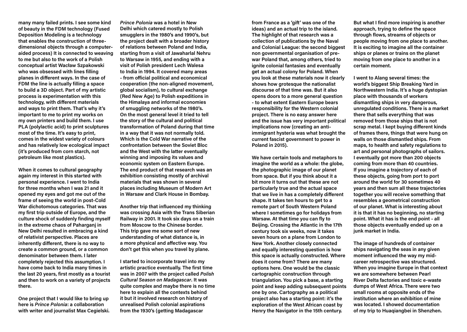**many many failed prints. I see some kind of beauty in the FDM technology (Fused Deposition Modeling is a technology that enables the construction of threedimensional objects through a computeraided process) It is connected to weaving to me but also to the work of a Polish conceptual artist Wacław Szpakowski who was obsessed with lines filling planes in different ways. In the case of FDM the line is actually filling a space to build a 3D object. Part of my artistic process is experimentation with this technology, with different materials and ways to print them. That's why it's important to me to print my works on my own printers and build them. I use PLA (polylactic acid) to print sculptures most of the time. It's easy to print, comes in the widest variety of colours and has relatively low ecological impact (it's produced from corn starch, not petroleum like most plastics).** 

**When it comes to cultural geography again my interest in this started with personal experience. I went to India for three months when I was 21 and it opened my eyes and got me out of the frame of seeing the world in post-Cold War dichotomous categories. That was my first trip outside of Europe, and the culture shock of suddenly finding myself in the extreme chaos of Paharganj in New Delhi resulted in embracing a kind of relativist perspective. Places are inherently different, there is no way to create a common ground, or a common denominator between them. I later completely rejected this assumption. I have come back to India many times in the last 20 years, first mostly as a tourist and then to work on a variety of projects there.** 

**One project that I would like to bring up here is** *Prince Polonia***: a collaboration with writer and journalist Max Cegielski.** 

*Prince Polonia* **was a hotel in New Delhi which catered mostly to Polish smugglers in the 1980's and 1990's, but the project dealt with a broader history of relations between Poland and India, starting from a visit of Jawaharlal Nehru to Warsaw in 1955, and ending with a visit of Polish president Lech Walesa to India in 1994. It covered many areas - from official political and economical cooperation (the non-aligned movement, global socialism), to cultural exchange (Red New Age) to Polish expeditions in the Himalaya and informal economies of smuggling networks of the 1980's. On the most general level it tried to tell the story of the cultural and political transformation of Poland during that time in a way that it was not normally told. Which is the Cold War narrative of the confrontation between the Soviet Bloc and the West with the latter eventually winning and imposing its values and economic system on Eastern Europe. The end product of that research was an exhibition consisting mostly of archival materials that was shown in several places including Museum of Modern Art in Warsaw and Clark House in Bombay.** 

**Another trip that influenced my thinking was crossing Asia with the Trans Siberian Railway in 2001. It took six days on a train from Moscow to the Chinese border. This trip gave me some sort of new understanding of what distance is, in a more physical and affective way. You don't get this when you travel by plane.** 

**I started to incorporate travel into my artistic practice eventually. The first time was in 2007 with the project called** *Polish Cultural Season on Madagascar***. It was quite complex and maybe there is no time here to explain all the contexts behind it but it involved research on history of unrealised Polish colonial aspirations from the 1930's (getting Madagascar** 

**from France as a 'gift' was one of the ideas) and an actual trip to the island. The highlight of that research was a collection of publications by the Naval and Colonial League: the second biggest non governmental organisation of prewar Poland that, among others, tried to ignite colonial fantasies and eventually get an actual colony for Poland. When you look at these materials now it clearly shows how grotesque the nationalist discourse of that time was. But it also opens doors to a more general question - to what extent Eastern Europe bears responsibility for the Western colonial project. There is no easy answer here and the issue has very important political implications now (creating an antiimmigrant hysteria was what brought the current fascist government to power in Poland in 2015).** 

**We have certain tools and metaphors to imagine the world as a whole: the globe, the photographic image of our planet from space. But if you think about it a bit more it turns out that these are not particularly true and the actual space that we live in has a completely different shape. It takes ten hours to get to a remote part of South Western Poland where I sometimes go for holidays from Warsaw. At that time you can fly to Beijing. Crossing the Atlantic in the 17th century took six weeks, now it takes seven hours on a plane from London to New York. Another closely connected and equally interesting question is how this space is actually constructed. Where does it come from? There are many options here. One would be the classic cartographic construction through triangulation. You pick a base, a starting point and keep adding subsequent points one by one. Cartography as a political project also has a starting point: it's the exploration of the West African coast by Henry the Navigator in the 15th century.** 

**But what I find more inspiring is another approach, trying to define the space through flows, streams of objects or people moving from one place to another. It is exciting to imagine all the container ships or planes or trains on the planet moving from one place to another in a certain moment.** 

**I went to Alang several times: the world's biggest Ship Breaking Yard in Northwestern India. It's a huge dystopian place with thousands of workers dismantling ships in very dangerous, unregulated conditions. There is a market there that sells everything that was removed from those ships that is not scrap metal. I kept buying different kinds of frames there, things that were hung on walls on those dismantled ships. From maps, to health and safety regulations to art and personal photographs of sailors. I eventually got more than 200 objects coming from more than 40 countries. If you imagine a trajectory of each of these objects, going from port to port around the world for 30 sometimes 40 years and then sum all these trajectories together you will receive something that resembles a geometrical construction of our planet. What is interesting about it is that it has no beginning, no starting point. What it has is the end point - all those objects eventually ended up on a junk market in India.** 

**The image of hundreds of container ships navigating the seas in any given moment influenced the way my midcareer retrospective was structured. When you imagine Europe in that context we are somewhere between Pearl River Delta factories and toxic e-waste dumps of West Africa. There were two small rooms at opposite ends of the institution where an exhibition of mine was located. I showed documentation of my trip to Huaqiangbei in Shenzhen.**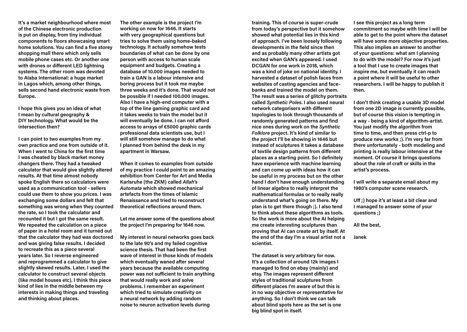**It's a market neighbourhood where most of the Chinese electronic production is put on display, from tiny individual components to floors showcasing smart home solutions. You can find a five storey shopping mall there which only sells mobile phone cases etc. Or another one with drones or different LED lightning systems. The other room was devoted to Alaba International: a huge market in Lagos which, among other things, sells second hand electronic waste from Europe.** 

**I hope this gives you an idea of what I mean by cultural geography & DIY technology. What would be the intersection then?**

**I can point to two examples from my own practice and one from outside of it. When I went to China for the first time I was cheated by black market money changers there. They had a tweaked calculator that would give slightly altered results. At that time almost nobody spoke English there so calculators were used as a communication tool - sellers could use them to show you prices. I was exchanging some dollars and felt that something was wrong when they counted the rate, so I took the calculator and recounted it but I got the same result. We repeated the calculation on a piece of paper in a hotel room and it turned out that the calculator they had was doctored and was giving false results. I decided to recreate this as a piece several years later. So I reverse engineered and reprogrammed a calculator to give slightly skewed results. Later, I used the calculator to construct several objects (like model houses etc). I think this piece kind of lies in the middle between my interests in making things and traveling and thinking about places.** 

**The other example is the project I'm working on now for 1646. It starts with very geographical questions but tries to solve them using home-baked technology. It actually somehow tests boundaries of what can be done by one person with access to human scale equipment and budgets. Creating a database of 10.000 images needed to train a GAN is a labour intensive and boring process but it took me maybe three weeks and it's done. That would not be possible if I needed 100.000 images. Also I have a high-end computer with a top of the line gaming graphic card and it takes weeks to train the model but it will eventually be done. I can not afford access to arrays of €5000 graphic cards professional data scientists use, but I will still somehow manage to do what I planned from behind the desk in my apartment in Warsaw.** 

**When it comes to examples from outside of my practice I could point to an amazing exhibition from Center for Art and Media Karlsruhe (the ZKM) called** *Allah's Automata* **which showed mechanical artefacts from the times of Islamic Renaissance and tried to reconstruct theoretical reflections around them.** 

**Let me answer some of the questions about the project I'm preparing for 1646 now.** 

**My interest in neural networks goes back to the late 90's and my failed cognitive science thesis. That had been the first wave of interest in those kinds of models which eventually waned after several years because the available computing power was not sufficient to train anything that would really work and solve problems. I remember an experiment which tried to simulate creativity on a neural network by adding random noise to neuron activation levels during** 

**training. This of course is super-crude from today's perspective but it somehow showed what potential lies in this kind of approach. I've been loosely following developments in the field since then and as probably many other artists got excited when GAN's appeared. I used DCGAN for one work in 2018, which was a kind of joke on national identity. I harvested a dataset of polish faces from websites of casting agencies and facebanks and trained the model on them. The result was a series of glitchy portraits called** *Synthetic Poles***. I also used neural network categorisers with different topologies to look through thousands of randomly generated patterns and find nice ones during work on the** *Synthetic Folklore* **project. It's kind of similar to the project I'll be showing in 1646 but instead of sculptures it takes a database of textile design patterns from different places as a starting point. So I definitely have experience with machine learning and can come up with ideas how it can be useful in my process but on the other hand I don't have enough understanding of linear algebra to really interpret the mathematical formulas or to really really understand what's going on there. My plan is to get there though ;). I also tend to think about these algorithms as tools. So the work is more about the AI helping me create interesting sculptures than proving that AI can create art by itself. At the end of the day I'm a visual artist not a scientist.** 

**The dataset is very arbitrary for now. It's a collection of around 12k images I managed to find on ebay (mainly) and etsy. The images represent different styles of traditional sculptures from different places I'm aware of but this is in no way objective or representative for anything. So I don't think we can talk about blind spots here as the set is one big blind spot in itself.** 

**I see this project as a long term commitment so maybe with time I will be able to get to the point where the dataset will have some more objective properties. This also implies an answer to another of your questions: what am I planning to do with the model? For now it's just a tool that I use to create images that inspire me, but eventually it can reach a point where it will be useful to other researchers. I will be happy to publish it then.** 

**I don't think creating a usable 3D model from one 2D image is currently possible, but of course this vision is tempting in a way - being a kind of algorithm-artist. You just modify the algorithm from time to time, and then press ctrl-p to produce new works ;). I'm very far from there unfortunately - both modeling and printing is really labour intensive at the moment. Of course it brings questions about the role of craft or skills in the artist's process.**

**I will write a separate email about my 1980's computer scene research.** 

**Uff ;) hope it's at least a bit clear and I managed to answer some of your questions ;)** 

**All the best,** 

**Janek**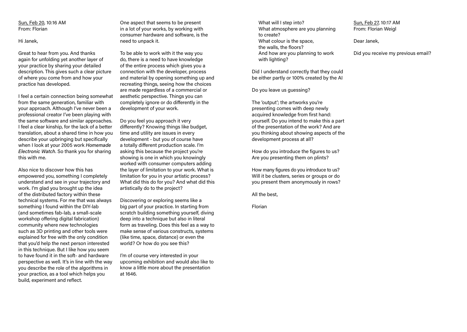## Sun, Feb 20, 10:16 AM From: Florian

Hi Janek,

Great to hear from you. And thanks again for unfolding yet another layer of your practice by sharing your detailed description. This gives such a clear picture of where you come from and how your practice has developed.

I feel a certain connection being somewhat from the same generation, familiar with your approach. Although I've never been a professional creator I've been playing with the same software and similar approaches. I feel a clear kinship, for the lack of a better translation, about a shared time in how you describe your upbringing but specifically when I look at your 2005 work *Homemade Electronic Watch*. So thank you for sharing this with me.

Also nice to discover how this has empowered you, something I completely understand and see in your trajectory and work. I'm glad you brought up the idea of the distributed factory within these technical systems. For me that was always something I found within the DIY-lab (and sometimes fab-lab, a small-scale workshop offering digital fabrication) community where new technologies such as 3D printing and other tools were explained for free with the only condition that you'd help the next person interested in this technique. But I like how you seem to have found it in the soft- and hardware perspective as well. It's in line with the way you describe the role of the algorithms in your practice, as a tool which helps you build, experiment and reflect.

One aspect that seems to be present in a lot of your works, by working with consumer hardware and software, is the need to unpack it.

To be able to work with it the way you do, there is a need to have knowledge of the entire process which gives you a connection with the developer, process and material by opening something up and recreating things, seeing how the choices are made regardless of a commercial or aesthetic perspective. Things you can completely ignore or do differently in the development of your work.

Do you feel you approach it very differently? Knowing things like budget, time and utility are issues in every development - but you of course have a totally different production scale. I'm asking this because the project you're showing is one in which you knowingly worked with consumer computers adding the layer of limitation to your work. What is limitation for you in your artistic process? What did this do for you? And what did this artistically do to the project?

Discovering or exploring seems like a big part of your practice. In starting from scratch building something yourself, diving deep into a technique but also in literal form as traveling. Does this feel as a way to make sense of various constructs, systems (like time, space, distance) or even the world? Or how do you see this?

I'm of course very interested in your upcoming exhibition and would also like to know a little more about the presentation at 1646.

What will I step into? What atmosphere are you planning to create? What colour is the space, the walls, the floors? And how are you planning to work with lighting?

Did I understand correctly that they could be either partly or 100% created by the AI

Do you leave us quessing?

The 'output'; the artworks you're presenting comes with deep newly acquired knowledge from first hand: yourself. Do you intend to make this a part of the presentation of the work? And are you thinking about showing aspects of the development process at all?

How do you introduce the figures to us? Are you presenting them on plints?

How many figures do you introduce to us? Will it be clusters, series or groups or do you present them anonymously in rows?

All the best,

Florian

Sun, Feb 27, 10:17 AM From: Florian Weigl

Dear Janek,

Did you receive my previous email?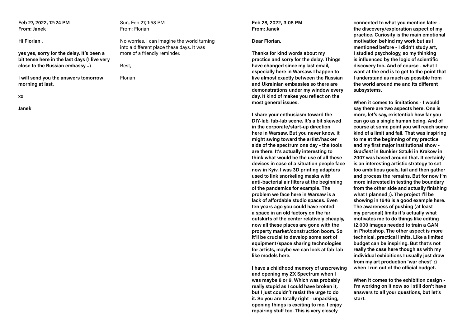**Feb 27, 2022, 12:24 PM From: Janek**

**Hi Florian ,** 

**yes yes, sorry for the delay, It's been a bit tense here in the last days (I live very close to the Russian embassy ..)** 

**I will send you the answers tomorrow morning at last.**

**xx**

**Janek**

Sun, Feb 27, 1:58 PM From: Florian

No worries, I can imagine the world turning into a different place these days. It was more of a friendly reminder.

Best,

Florian

#### **Feb 28, 2022, 3:08 PM From: Janek**

### **Dear Florian,**

**Thanks for kind words about my practice and sorry for the delay. Things have changed since my last email, especially here in Warsaw. I happen to live almost exactly between the Russian and Ukrainian embassies so there are demonstrations under my window every day. It kind of makes you reflect on the most general issues.** 

**I share your enthusiasm toward the DIY-lab, fab-lab scene. It's a bit skewed in the corporate/start-up direction here in Warsaw. But you never know, it might swing toward the artist/hacker side of the spectrum one day - the tools are there. It's actually interesting to think what would be the use of all these devices in case of a situation people face now in Kyiv. I was 3D printing adapters used to link snorkeling masks with anti-bacterial air filters at the beginning of the pandemics for example. The problem we face here in Warsaw is a lack of affordable studio spaces. Even ten years ago you could have rented a space in an old factory on the far outskirts of the center relatively cheaply, now all these places are gone with the property market/construction boom. So it'll be crucial to develop some sort of equipment/space sharing technologies for artists, maybe we can look at fab-lablike models here.** 

**I have a childhood memory of unscrewing and opening my ZX Spectrum when I was maybe 8 or 9. Which was probably really stupid as I could have broken it, but I just couldn't resist the urge to do it. So you are totally right - unpacking, opening things is exciting to me. I enjoy repairing stuff too. This is very closely** 

**connected to what you mention later the discovery/exploration aspect of my practice. Curiosity is the main emotional motivation behind my work but as I mentioned before - I didn't study art, I studied psychology, so my thinking is influenced by the logic of scientific discovery too. And of course - what I want at the end is to get to the point that I understand as much as possible from the world around me and its different subsystems.** 

**When it comes to limitations - I would say there are two aspects here. One is more, let's say, existential: how far you can go as a single human being. And of course at some point you will reach some kind of a limit and fail. That was inspiring to me at the beginning of my practice and my first major institutional show -**  *Gradient* **in Bunkier Sztuki in Krakow in 2007 was based around that. It certainly is an interesting artistic strategy to set too ambitious goals, fail and then gather and process the remains. But for now I'm more interested in testing the boundary from the other side and actually finishing what I planned ;). The project I'll be showing in 1646 is a good example here. The awareness of pushing (at least my personal) limits it's actually what motivates me to do things like editing 12.000 images needed to train a GAN in Photoshop. The other aspect is more technical, practical limits. Like a limited budget can be inspiring. But that's not really the case here though as with my individual exhibitions I usually just draw from my art production 'war chest' ;) when I run out of the official budget.** 

**When it comes to the exhibition design - I'm working on it now so I still don't have answers to all your questions, but let's start.**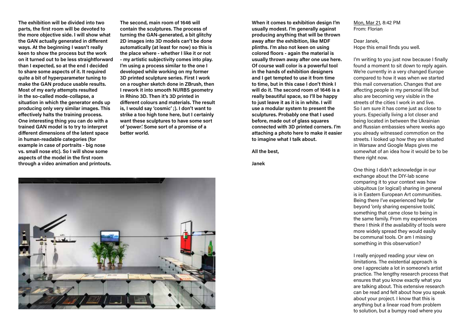**The exhibition will be divided into two parts, the first room will be devoted to the more objective side. I will show what the GAN actually generated in different ways. At the beginning I wasn't really keen to show the process but the work on it turned out to be less straightforward than I expected, so at the end I decided to share some aspects of it. It required quite a bit of hyperparameter tuning to make the GAN produce usable results. Most of my early attempts resulted in the so-called mode-collapse, a situation in which the generator ends up producing only very similar images. This effectively halts the training process. One interesting thing you can do with a trained GAN model is to try to interpret different dimensions of the latent space in human-readable categories (for example in case of portraits - big nose vs. small nose etc). So I will show some aspects of the model in the first room through a video animation and printouts.** 

**The second, main room of 1646 will contain the sculptures. The process of turning the GAN-generated, a bit glitchy 2D images into 3D models can't be done automatically (at least for now) so this is the place where - whether I like it or not - my artistic subjectivity comes into play. I'm using a process similar to the one I developed while working on my former 3D printed sculpture series. First I work on a rougher sketch done in ZBrush, then I rework it into smooth NURBS geometry in Rhino 3D. Then it's 3D printed in different colours and materials. The result is, I would say 'cosmic' ;). I don't want to strike a too high tone here, but I certainly want these sculptures to have some sort of 'power'. Some sort of a promise of a better world.** 

**When it comes to exhibition design I'm usually modest. I'm generally against producing anything that will be thrown away after the exhibition, like MDF plinths. I'm also not keen on using colored floors - again the material is usually thrown away after one use here. Of course wall color is a powerful tool in the hands of exhibition designers and I get tempted to use it from time to time, but in this case I don't think I will do it. The second room of 1646 is a really beautiful space, so I'll be happy to just leave it as it is in white. I will use a modular system to present the sculptures. Probably one that I used before, made out of glass squares connected with 3D printed corners. I'm attaching a photo here to make it easier to imagine what I talk about.** 

**All the best,** 

**Janek** 

Mon, Mar 21, 8:42 PM From: Florian

Dear Janek, Hope this email finds you well.

I'm writing to you just now because I finally found a moment to sit down to reply again. We're currently in a very changed Europe compared to how it was when we started this mail conversation. Changes that are affecting people in my personal life but also are becoming very visible in the streets of the cities I work in and live. So I am sure it has come just as close to yours. Especially living a lot closer and being located in between the Ukrainian and Russian embassies where weeks ago you already witnessed commotion on the streets. I looked up how they are situated in Warsaw and Google Maps gives me somewhat of an idea how it would be to be there right now.

One thing I didn't acknowledge in our exchange about the DIY-lab scene comparing it to your context was how ubiquitous (or logical) sharing in general is in Eastern European Art communities. Being there I've experienced help far beyond 'only sharing expensive tools', something that came close to being in the same family. From my experiences there I think if the availability of tools were more widely spread they would easily be communal tools. Or am I missing something in this observation?

I really enjoyed reading your view on limitations. The existential approach is one I appreciate a lot in someone's artist practice. The lengthy research process that ensures that you know exactly what you are talking about. This extensive research can be read and felt about how you speak about your project. I know that this is anything but a linear road from problem to solution, but a bumpy road where you

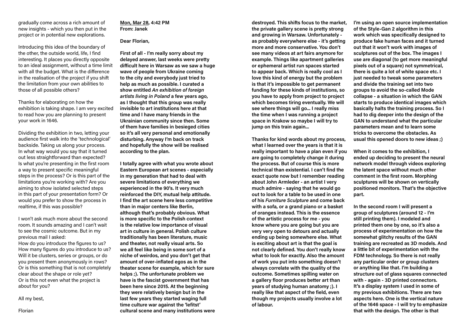gradually come across a rich amount of new insights - which you then put in the project or in potential new explorations.

Introducing this idea of the boundary of the other, the outside world, life, I find interesting. It places you directly opposite to an ideal assignment, without a time limit with all the budget. What is the difference in the realisation of the project if you shift the limitation from your own abilities to those of all possible others?

Thanks for elaborating on how the exhibition is taking shape. I am very excited to read how you are planning to present your work in 1646.

Dividing the exhibition in two, letting your audience first walk into the 'technological' backside. Taking us along your process. In what way would you say that it turned out less straightforward than expected? Is what you're presenting in the first room a way to present specific meaningful steps in the process? Or is this part of the limitations you're working with? Are you aiming to show isolated selected steps in this part of your presentation form? Or would you prefer to show the process in realtime, if this was possible?

I won't ask much more about the second room. It sounds amazing and I can't wait to see the cosmic outcome. But in my previous mail I asked:

How do you introduce the figures to us? How many figures do you introduce to us? Will it be clusters, series or groups, or do you present them anonymously in rows? Or is this something that is not completely clear about the shape or role yet? Or is this not even what the project is about for you?

All my best,

Florian

**Mon, Mar 28, 4:42 PM From: Janek**

# **Dear Florian,**

**First of all - I'm really sorry about my delayed answer, last weeks were pretty difficult here in Warsaw as we saw a huge wave of people from Ukraine coming to the city and everybody just tried to help as much as possible. I curated a show entitled** *An exhibition of foreign artists living in Poland* **a few years ago, as I thought that this group was really invisible to art institutions here at that time and I have many friends in the Ukrainian community since then. Some of them have families in besieged cities so it's all very personal and emotionally disturbing. Anyway I'm back on track and hopefully the show will be realised according to the plan.**

**I totally agree with what you wrote about Eastern European art scenes - especially in my generation that had to deal with severe limitations of everything we experienced in the 90's. It very much reinforced the DIY, mutual help attitude. I find the art scene here less competitive than in major centers like Berlin, although that's probably obvious. What is more specific to the Polish context is the relative low importance of visual art in culture in general. Polish culture traditionally has been literature, music and theater, not really visual arts. So we all feel like being in some sort of a niche of weirdos, and you don't get that amount of over-inflated egos as in the theater scene for example, which for sure helps ;). The unfortunate problem we have is the fascist government that has been here since 2015. At the beginning they were relatively benign but in the last few years they started waging full time culture war against the 'lefitst' cultural scene and many institutions were**  **destroyed. This shifts focus to the market, the private gallery scene is pretty strong and growing in Warsaw. Unfortunately as probably everywhere else - it's getting more and more conservative. You don't see many videos at art fairs anymore for example. Things like apartment galleries or ephemeral artist run spaces started to appear back. Which is really cool as I love this kind of energy but the problem is that it's impossible to get permanent funding for these kinds of institutions, so you have to apply from project to project which becomes tiring eventually. We will see where things will go... I really miss the time when I was running a project space in Krakow so maybe I will try to jump on this train again...**

**Thanks for kind words about my process, what I learned over the years is that it is really important to have a plan even if you are going to completely change it during the process. But of course this is more technical than existential. I can't find the exact quote now but I remember reading about John Armleder - an artist I very much admire - saying that he would go out to look for a table to be used in one of his** *Furniture Sculpture* **and come back with a sofa, or a grand piano or a basket of oranges instead. This is the essence of the artistic process for me - you know where you are going but you are very very open to detours and actually ending up being somewhere else. What is exciting about art is that the goal is not clearly defined. You don't really know what to look for exactly. Also the amount of work you put into something doesn't always correlate with the quality of the outcome. Sometimes spilling water on a gallery floor produces better art than years of studying human anatomy ;). I really like that aspect of the field, even though my projects usually involve a lot of labour.** 

**I'm using an open source implementation of the Style-Gan 2 algorithm in this work which was specifically designed to produce fake human faces and it turned out that it won't work with images of sculptures out of the box. The images I use are diagonal (to get more meaningful pixels out of a square) not symmetrical, there is quite a lot of white space etc. I just needed to tweak some parameters and divide the training set into two groups to avoid the so-called Mode collapse - a situation in which the GAN starts to produce identical images which basically halts the training process. So I had to dig deeper into the design of the GAN to understand what the particular parameters mean and to learn some tricks to overcome the obstacles. As usual this opened doors to new ideas ;)** 

**When it comes to the exhibition, I ended up deciding to present the neural network model through videos exploring the latent space without much other comment in the first room. Morphing sculptures will be shown on vertically positioned monitors. That's the objective part.** 

**In the second room I will present a group of sculptures (around 12 - I'm still printing them). I modeled and printed them one by one, so it's also a process of experimentation on how the somewhat glitchy results of the GAN training are recreated as 3D models. And a little bit of experimentation with the FDM technology. So there is not really any particular order or group clusters or anything like that. I'm building a structure out of glass squares connected with - again - 3D printed connectors. It's a display system I used in some of my previous exhibitions. There are two aspects here. One is the vertical nature of the 1646 space - I will try to emphasize that with the design. The other is that**